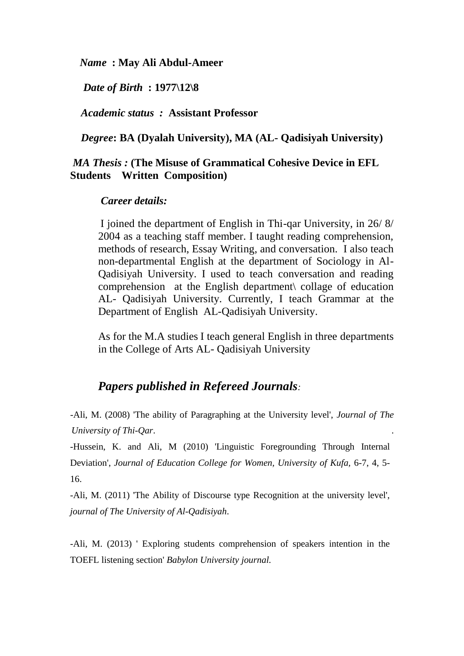*Name* **: May Ali Abdul-Ameer**

*Date of Birth* **: 1977\12\8**

*Academic status :* **Assistant Professor** 

*Degree***: BA (Dyalah University), MA (AL- Qadisiyah University)**

## *MA Thesis :* **(The Misuse of Grammatical Cohesive Device in EFL Students Written Composition)**

## *Career details:*

I joined the department of English in Thi-qar University, in 26/ 8/ 2004 as a teaching staff member. I taught reading comprehension, methods of research, Essay Writing, and conversation. I also teach non-departmental English at the department of Sociology in Al-Qadisiyah University. I used to teach conversation and reading comprehension at the English department\ collage of education AL- Qadisiyah University. Currently, I teach Grammar at the Department of English AL-Qadisiyah University.

As for the M.A studies I teach general English in three departments in the College of Arts AL- Qadisiyah University

## *Papers published in Refereed Journals:*

-Ali, M. (2008) 'The ability of Paragraphing at the University level', *Journal of The University of Thi-Qar*. .

-Hussein, K. and Ali, M (2010) 'Linguistic Foregrounding Through Internal Deviation', *Journal of Education College for Women, University of Kufa,* 6-7, 4, 5- 16.

-Ali, M. (2011) 'The Ability of Discourse type Recognition at the university level', *journal of The University of Al-Qadisiyah*.

-Ali, M. (2013) ' Exploring students comprehension of speakers intention in the TOEFL listening section' *Babylon University journal.*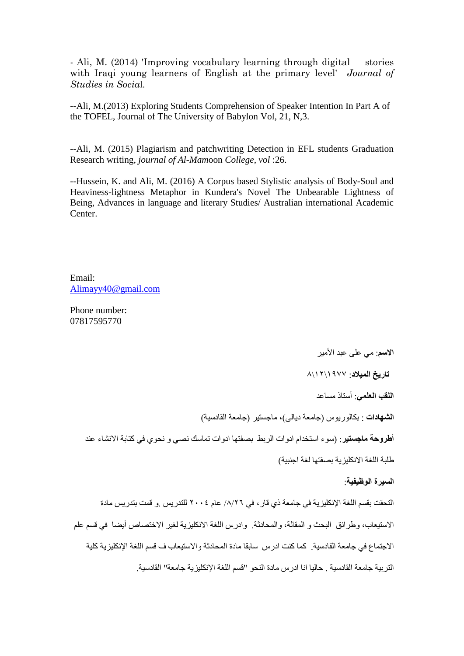- Ali, M. (2014) 'Improving vocabulary learning through digital stories with Iraqi young learners of English at the primary level' *Journal of Studies in Socia*l.

--Ali, M.(2013) Exploring Students Comprehension of Speaker Intention In Part A of the TOFEL, Journal of The University of Babylon Vol, 21, N,3.

--Ali, M. (2015) Plagiarism and patchwriting Detection in EFL students Graduation Research writing, *journal of Al-Mam*oon *College*, *vol* :26.

--Hussein, K. and Ali, M. (2016) A Corpus based Stylistic analysis of Body-Soul and Heaviness-lightness Metaphor in Kundera's Novel The Unbearable Lightness of Being, Advances in language and literary Studies/ Australian international Academic Center.

Email: [Alimayy40@gmail.com](mailto:Alimayy40@gmail.com)

Phone number: 07817595770

**الاسم**: مى على عبد الأمير

**تاريخ الميالد**: 7711\71\8

**اللقب العلمي**: أصخار هضاعذ

ا**لشهادات** : بكالوريوس (جامعة ديالى)، ماجستير (جامعة القادسية)

<mark>أطروحة ماجستير</mark><sub>:</sub> (سوء استخدام ادوات الربط بصفتها ادوات تماسك نصىي و نحوي في كتابة الانشاء عند

طلبة اللغة الانكليز بة بصفتها لغة اجنبية)

**السيرة الىظيفيت**:

التحقت بقسم اللغة الإنكليزية في جامعة ذي قار ، في ٨/٢٦/ عام ٢٠٠٤ للندريس .و قمت بندريس مادة الاستبعاب، وطرائق البحث و المقالة، والمحادثة. وادرس اللغة الانكليزية لغير الاختصاص أيضا في قسم علم الاجتماع في جامعة القادسية. كما كنت ادرس سابقا مادة المحادثة والاستيعاب ف قسم اللغة الإنكليز ية كلية التر بية جامعة القادسية . حاليا انا ادرس مادة النحو "قسم اللغة الإنكليز بة جامعة" القادسية.